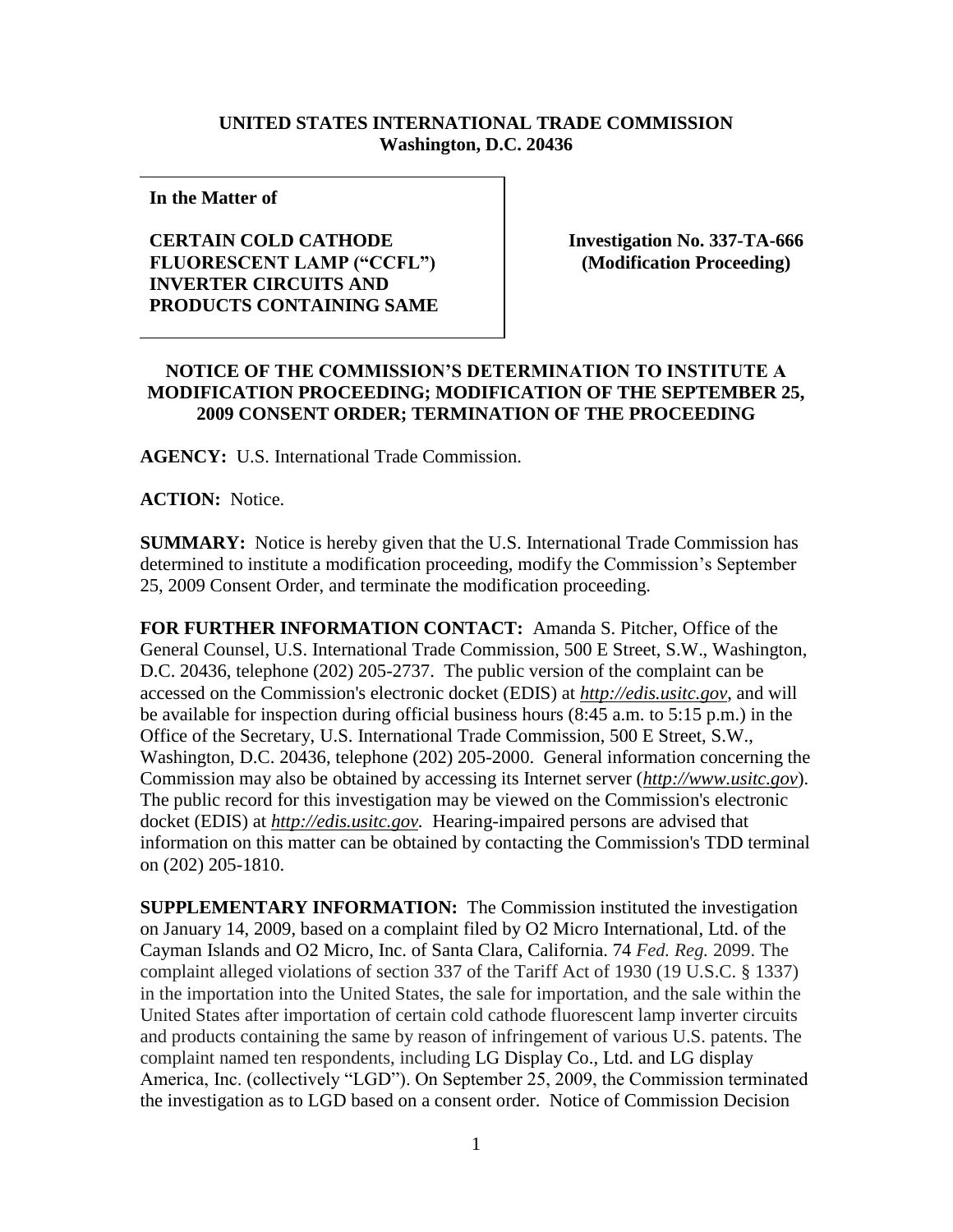## **UNITED STATES INTERNATIONAL TRADE COMMISSION Washington, D.C. 20436**

**In the Matter of**

## **CERTAIN COLD CATHODE FLUORESCENT LAMP ("CCFL") ) INVERTER CIRCUITS AND ) PRODUCTS CONTAINING SAME**

**Investigation No. 337-TA-666 (Modification Proceeding)**

## **NOTICE OF THE COMMISSION'S DETERMINATION TO INSTITUTE A MODIFICATION PROCEEDING; MODIFICATION OF THE SEPTEMBER 25, 2009 CONSENT ORDER; TERMINATION OF THE PROCEEDING**

**AGENCY:** U.S. International Trade Commission.

**ACTION:** Notice.

**SUMMARY:** Notice is hereby given that the U.S. International Trade Commission has determined to institute a modification proceeding, modify the Commission's September 25, 2009 Consent Order, and terminate the modification proceeding.

**FOR FURTHER INFORMATION CONTACT:** Amanda S. Pitcher, Office of the General Counsel, U.S. International Trade Commission, 500 E Street, S.W., Washington, D.C. 20436, telephone (202) 205-2737. The public version of the complaint can be accessed on the Commission's electronic docket (EDIS) at *http://edis.usitc.gov*, and will be available for inspection during official business hours (8:45 a.m. to 5:15 p.m.) in the Office of the Secretary, U.S. International Trade Commission, 500 E Street, S.W., Washington, D.C. 20436, telephone (202) 205-2000. General information concerning the Commission may also be obtained by accessing its Internet server (*http://www.usitc.gov*). The public record for this investigation may be viewed on the Commission's electronic docket (EDIS) at *http://edis.usitc.gov.* Hearing-impaired persons are advised that information on this matter can be obtained by contacting the Commission's TDD terminal on (202) 205-1810.

**SUPPLEMENTARY INFORMATION:** The Commission instituted the investigation on January 14, 2009, based on a complaint filed by O2 Micro International, Ltd. of the Cayman Islands and O2 Micro, Inc. of Santa Clara, California. 74 *Fed. Reg.* 2099. The complaint alleged violations of section 337 of the Tariff Act of 1930 (19 U.S.C. § 1337) in the importation into the United States, the sale for importation, and the sale within the United States after importation of certain cold cathode fluorescent lamp inverter circuits and products containing the same by reason of infringement of various U.S. patents. The complaint named ten respondents, including LG Display Co., Ltd. and LG display America, Inc. (collectively "LGD"). On September 25, 2009, the Commission terminated the investigation as to LGD based on a consent order. Notice of Commission Decision